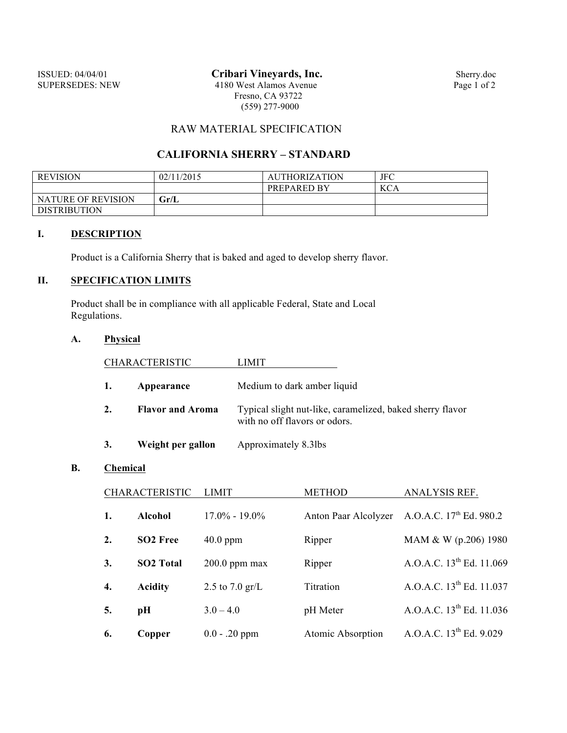## RAW MATERIAL SPECIFICATION

## **CALIFORNIA SHERRY – STANDARD**

| <b>REVISION</b>     | 02/11/2015 | <b>AUTHORIZATION</b> | JFC        |
|---------------------|------------|----------------------|------------|
|                     |            | <b>PREPARED BY</b>   | <b>KCA</b> |
| NATURE OF REVISION  | Gr/L       |                      |            |
| <b>DISTRIBUTION</b> |            |                      |            |

#### **I. DESCRIPTION**

Product is a California Sherry that is baked and aged to develop sherry flavor.

# **II. SPECIFICATION LIMITS**

Product shall be in compliance with all applicable Federal, State and Local Regulations.

### **A. Physical**

|    | <b>CHARACTERISTIC</b>   | LIMIT                                                                                      |
|----|-------------------------|--------------------------------------------------------------------------------------------|
| 1. | Appearance              | Medium to dark amber liquid                                                                |
| 2. | <b>Flavor and Aroma</b> | Typical slight nut-like, caramelized, baked sherry flavor<br>with no off flavors or odors. |
|    | Weight per gallon       | Approximately 8.3lbs                                                                       |

#### **B. Chemical**

|    | <b>CHARACTERISTIC</b> | <b>LIMIT</b>              | <b>METHOD</b>        | ANALYSIS REF.                        |
|----|-----------------------|---------------------------|----------------------|--------------------------------------|
| 1. | <b>Alcohol</b>        | $17.0\% - 19.0\%$         | Anton Paar Alcolyzer | A.O.A.C. 17 <sup>th</sup> Ed. 980.2  |
| 2. | SO <sub>2</sub> Free  | $40.0$ ppm                | Ripper               | MAM & W (p.206) 1980                 |
| 3. | <b>SO2 Total</b>      | $200.0$ ppm max           | Ripper               | A.O.A.C. 13 <sup>th</sup> Ed. 11.069 |
| 4. | <b>Acidity</b>        | 2.5 to $7.0 \text{ gr/L}$ | Titration            | A.O.A.C. 13 <sup>th</sup> Ed. 11.037 |
| 5. | pН                    | $3.0 - 4.0$               | pH Meter             | A.O.A.C. $13^{th}$ Ed. 11.036        |
| 6. | Copper                | $0.0 - .20$ ppm           | Atomic Absorption    | A.O.A.C. 13 <sup>th</sup> Ed. 9.029  |